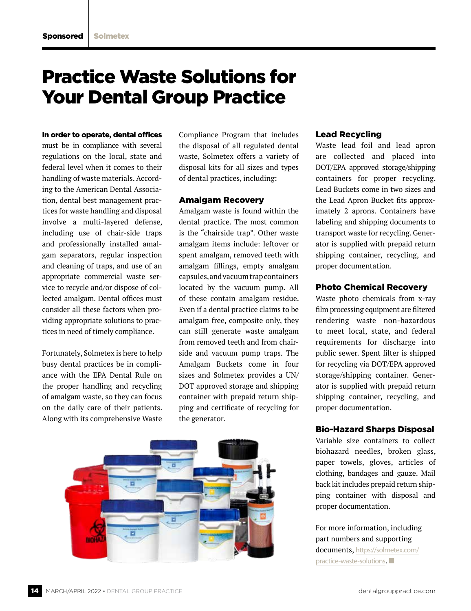# Practice Waste Solutions for Your Dental Group Practice

## In order to operate, dental offices

must be in compliance with several regulations on the local, state and federal level when it comes to their handling of waste materials. According to the American Dental Association, dental best management practices for waste handling and disposal involve a multi-layered defense, including use of chair-side traps and professionally installed amalgam separators, regular inspection and cleaning of traps, and use of an appropriate commercial waste service to recycle and/or dispose of collected amalgam. Dental offices must consider all these factors when providing appropriate solutions to practices in need of timely compliance.

Fortunately, Solmetex is here to help busy dental practices be in compliance with the EPA Dental Rule on the proper handling and recycling of amalgam waste, so they can focus on the daily care of their patients. Along with its comprehensive Waste

Compliance Program that includes the disposal of all regulated dental waste, Solmetex offers a variety of disposal kits for all sizes and types of dental practices, including:

#### Amalgam Recovery

Amalgam waste is found within the dental practice. The most common is the "chairside trap". Other waste amalgam items include: leftover or spent amalgam, removed teeth with amalgam fillings, empty amalgam capsules, and vacuum trap containers located by the vacuum pump. All of these contain amalgam residue. Even if a dental practice claims to be amalgam free, composite only, they can still generate waste amalgam from removed teeth and from chairside and vacuum pump traps. The Amalgam Buckets come in four sizes and Solmetex provides a UN/ DOT approved storage and shipping container with prepaid return shipping and certificate of recycling for the generator.



#### Lead Recycling

Waste lead foil and lead apron are collected and placed into DOT/EPA approved storage/shipping containers for proper recycling. Lead Buckets come in two sizes and the Lead Apron Bucket fits approximately 2 aprons. Containers have labeling and shipping documents to transport waste for recycling. Generator is supplied with prepaid return shipping container, recycling, and proper documentation.

#### Photo Chemical Recovery

Waste photo chemicals from x-ray film processing equipment are filtered rendering waste non-hazardous to meet local, state, and federal requirements for discharge into public sewer. Spent filter is shipped for recycling via DOT/EPA approved storage/shipping container. Generator is supplied with prepaid return shipping container, recycling, and proper documentation.

## Bio-Hazard Sharps Disposal

Variable size containers to collect biohazard needles, broken glass, paper towels, gloves, articles of clothing, bandages and gauze. Mail back kit includes prepaid return shipping container with disposal and proper documentation.

For more information, including part numbers and supporting documents, [https://solmetex.com/](https://solmetex.com/practice-waste-solutions) [practice-waste-solutions](https://solmetex.com/practice-waste-solutions).